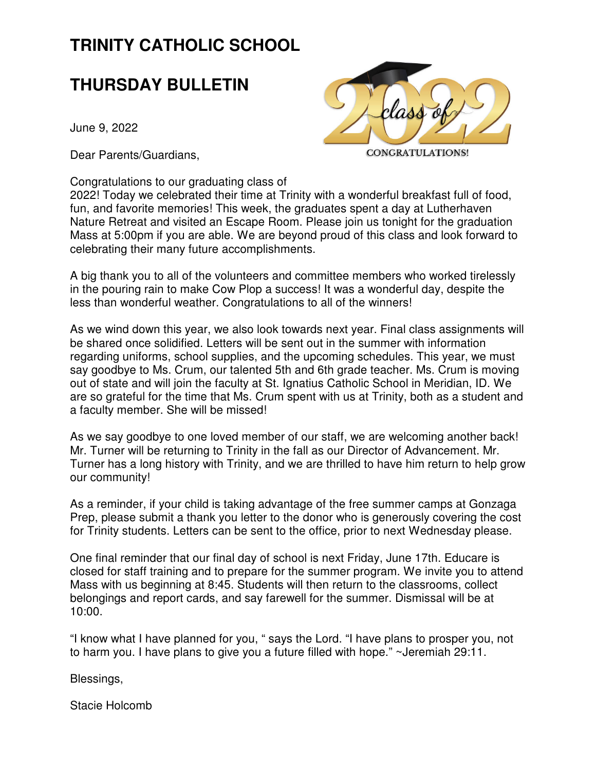# **TRINITY CATHOLIC SCHOOL**

## **THURSDAY BULLETIN**

June 9, 2022

Dear Parents/Guardians,



Congratulations to our graduating class of

2022! Today we celebrated their time at Trinity with a wonderful breakfast full of food, fun, and favorite memories! This week, the graduates spent a day at Lutherhaven Nature Retreat and visited an Escape Room. Please join us tonight for the graduation Mass at 5:00pm if you are able. We are beyond proud of this class and look forward to celebrating their many future accomplishments.

A big thank you to all of the volunteers and committee members who worked tirelessly in the pouring rain to make Cow Plop a success! It was a wonderful day, despite the less than wonderful weather. Congratulations to all of the winners!

As we wind down this year, we also look towards next year. Final class assignments will be shared once solidified. Letters will be sent out in the summer with information regarding uniforms, school supplies, and the upcoming schedules. This year, we must say goodbye to Ms. Crum, our talented 5th and 6th grade teacher. Ms. Crum is moving out of state and will join the faculty at St. Ignatius Catholic School in Meridian, ID. We are so grateful for the time that Ms. Crum spent with us at Trinity, both as a student and a faculty member. She will be missed!

As we say goodbye to one loved member of our staff, we are welcoming another back! Mr. Turner will be returning to Trinity in the fall as our Director of Advancement. Mr. Turner has a long history with Trinity, and we are thrilled to have him return to help grow our community!

As a reminder, if your child is taking advantage of the free summer camps at Gonzaga Prep, please submit a thank you letter to the donor who is generously covering the cost for Trinity students. Letters can be sent to the office, prior to next Wednesday please.

One final reminder that our final day of school is next Friday, June 17th. Educare is closed for staff training and to prepare for the summer program. We invite you to attend Mass with us beginning at 8:45. Students will then return to the classrooms, collect belongings and report cards, and say farewell for the summer. Dismissal will be at 10:00.

"I know what I have planned for you, " says the Lord. "I have plans to prosper you, not to harm you. I have plans to give you a future filled with hope." ~Jeremiah 29:11.

Blessings,

Stacie Holcomb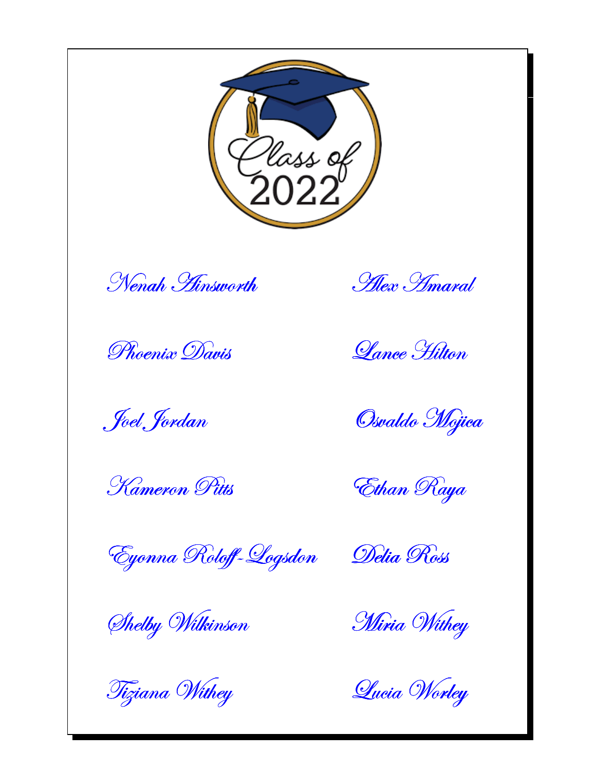

Nenah Hinsworth

Phoenix Davis

*Foel Jordan* 

Kameron Pitts

Hex *Imaral* 

*Lance Hilton* 

Osvaldo Mojica

Ethan Raya

Eyonna Roloff-Logsdon

Shelby Wilkinson

Tiziana Withey

Delia Ross

Miria Withey

Queia Worley